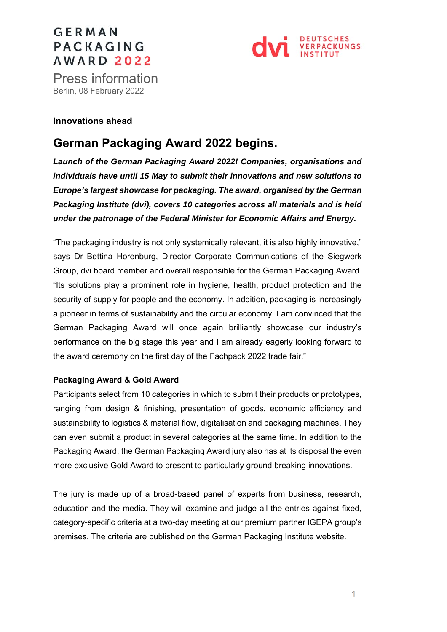# **GERMAN** PACKAGING **AWARD 2022**



Press information<br>Berlin, 08 February 2022

### **Innovations ahead**

## **German Packaging Award 2022 begins.**

*Launch of the German Packaging Award 2022! Companies, organisations and individuals have until 15 May to submit their innovations and new solutions to Europe's largest showcase for packaging. The award, organised by the German Packaging Institute (dvi), covers 10 categories across all materials and is held under the patronage of the Federal Minister for Economic Affairs and Energy.* 

"The packaging industry is not only systemically relevant, it is also highly innovative," says Dr Bettina Horenburg, Director Corporate Communications of the Siegwerk Group, dvi board member and overall responsible for the German Packaging Award. "Its solutions play a prominent role in hygiene, health, product protection and the security of supply for people and the economy. In addition, packaging is increasingly a pioneer in terms of sustainability and the circular economy. I am convinced that the German Packaging Award will once again brilliantly showcase our industry's performance on the big stage this year and I am already eagerly looking forward to the award ceremony on the first day of the Fachpack 2022 trade fair."

### **Packaging Award & Gold Award**

Participants select from 10 categories in which to submit their products or prototypes, ranging from design & finishing, presentation of goods, economic efficiency and sustainability to logistics & material flow, digitalisation and packaging machines. They can even submit a product in several categories at the same time. In addition to the Packaging Award, the German Packaging Award jury also has at its disposal the even more exclusive Gold Award to present to particularly ground breaking innovations.

The jury is made up of a broad-based panel of experts from business, research, education and the media. They will examine and judge all the entries against fixed, category-specific criteria at a two-day meeting at our premium partner IGEPA group's premises. The criteria are published on the German Packaging Institute website.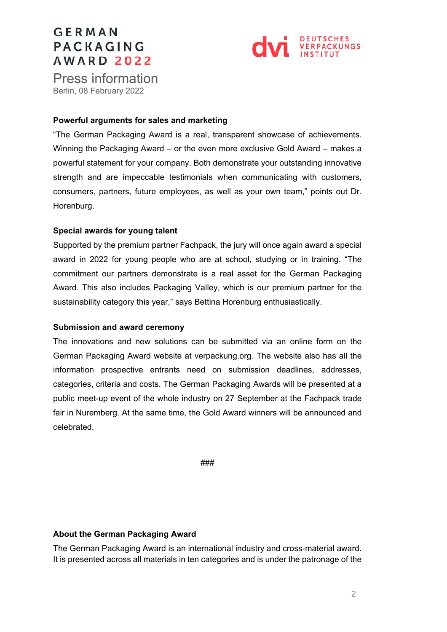# **GERMAN** PACKAGING **AWARD 2022**



Press information<br>Berlin, 08 February 2022

#### **Powerful arguments for sales and marketing**

"The German Packaging Award is a real, transparent showcase of achievements. Winning the Packaging Award – or the even more exclusive Gold Award – makes a powerful statement for your company. Both demonstrate your outstanding innovative strength and are impeccable testimonials when communicating with customers, consumers, partners, future employees, as well as your own team," points out Dr. Horenburg.

#### **Special awards for young talent**

Supported by the premium partner Fachpack, the jury will once again award a special award in 2022 for young people who are at school, studying or in training. "The commitment our partners demonstrate is a real asset for the German Packaging Award. This also includes Packaging Valley, which is our premium partner for the sustainability category this year," says Bettina Horenburg enthusiastically.

#### **Submission and award ceremony**

The innovations and new solutions can be submitted via an online form on the German Packaging Award website at verpackung.org. The website also has all the information prospective entrants need on submission deadlines, addresses, categories, criteria and costs. The German Packaging Awards will be presented at a public meet-up event of the whole industry on 27 September at the Fachpack trade fair in Nuremberg. At the same time, the Gold Award winners will be announced and celebrated.

###

### **About the German Packaging Award**

The German Packaging Award is an international industry and cross-material award. It is presented across all materials in ten categories and is under the patronage of the